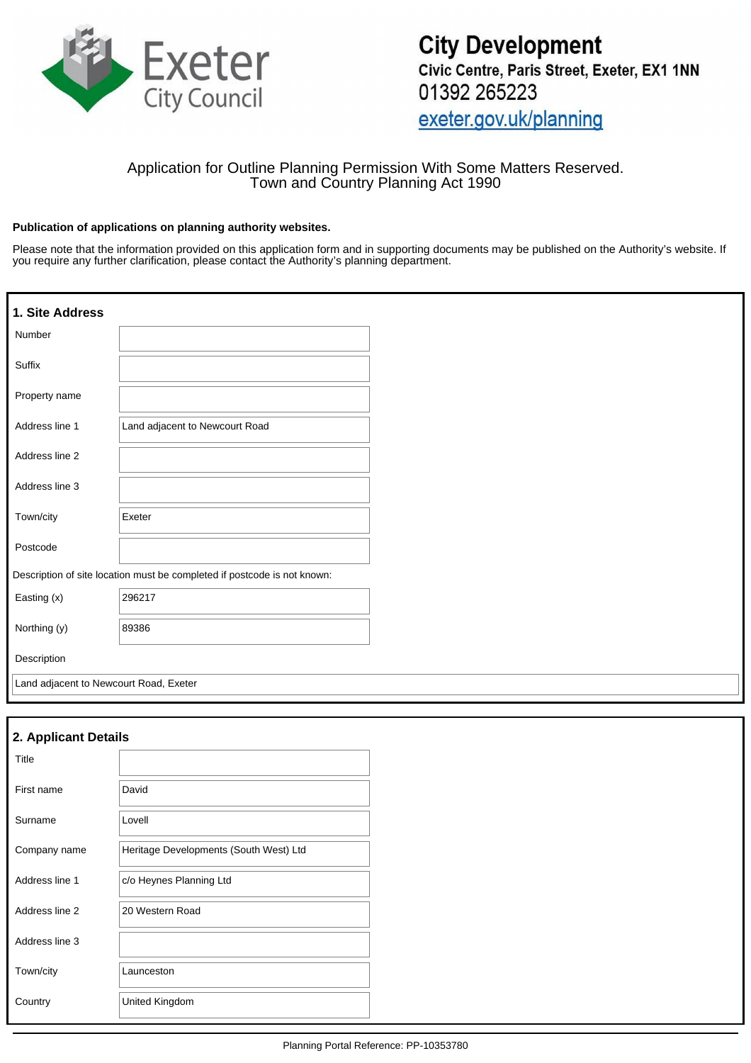

# Application for Outline Planning Permission With Some Matters Reserved. Town and Country Planning Act 1990

### **Publication of applications on planning authority websites.**

Please note that the information provided on this application form and in supporting documents may be published on the Authority's website. If you require any further clarification, please contact the Authority's planning department.

| 1. Site Address                        |                                                                          |  |
|----------------------------------------|--------------------------------------------------------------------------|--|
| Number                                 |                                                                          |  |
| Suffix                                 |                                                                          |  |
| Property name                          |                                                                          |  |
| Address line 1                         | Land adjacent to Newcourt Road                                           |  |
| Address line 2                         |                                                                          |  |
| Address line 3                         |                                                                          |  |
| Town/city                              | Exeter                                                                   |  |
| Postcode                               |                                                                          |  |
|                                        | Description of site location must be completed if postcode is not known: |  |
| Easting (x)                            | 296217                                                                   |  |
| Northing (y)                           | 89386                                                                    |  |
| Description                            |                                                                          |  |
| Land adjacent to Newcourt Road, Exeter |                                                                          |  |

| 2. Applicant Details |                                        |  |  |  |
|----------------------|----------------------------------------|--|--|--|
| Title                |                                        |  |  |  |
| First name           | David                                  |  |  |  |
| Surname              | Lovell                                 |  |  |  |
| Company name         | Heritage Developments (South West) Ltd |  |  |  |
| Address line 1       | c/o Heynes Planning Ltd                |  |  |  |
| Address line 2       | 20 Western Road                        |  |  |  |
| Address line 3       |                                        |  |  |  |
| Town/city            | Launceston                             |  |  |  |
| Country              | United Kingdom                         |  |  |  |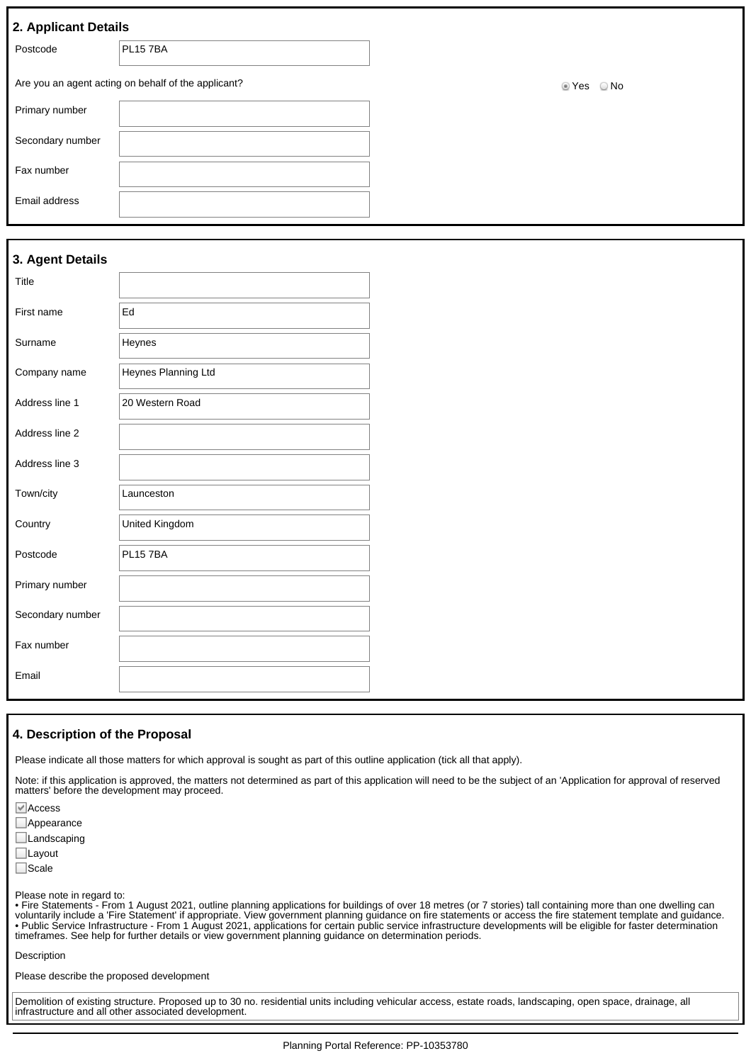|  | 2. Applicant Details |  |
|--|----------------------|--|
|  |                      |  |

| . .              |                                                     |                               |
|------------------|-----------------------------------------------------|-------------------------------|
| Postcode         | PL15 7BA                                            |                               |
|                  | Are you an agent acting on behalf of the applicant? | $\bigcirc$ No<br><b>■ Yes</b> |
| Primary number   |                                                     |                               |
| Secondary number |                                                     |                               |
| Fax number       |                                                     |                               |
| Email address    |                                                     |                               |

### **3. Agent Details**

| Title            |                     |
|------------------|---------------------|
| First name       | Ed                  |
| Surname          | Heynes              |
| Company name     | Heynes Planning Ltd |
| Address line 1   | 20 Western Road     |
| Address line 2   |                     |
| Address line 3   |                     |
| Town/city        | Launceston          |
| Country          | United Kingdom      |
| Postcode         | <b>PL157BA</b>      |
| Primary number   |                     |
| Secondary number |                     |
| Fax number       |                     |
| Email            |                     |

#### **4. Description of the Proposal**

Please indicate all those matters for which approval is sought as part of this outline application (tick all that apply).

Note: if this application is approved, the matters not determined as part of this application will need to be the subject of an 'Application for approval of reserved matters' before the development may proceed.

Access

**Appearance** 

**Landscaping** 

Layout

□Scale

Please note in regard to:

• Fire Statements - From 1 August 2021, outline planning applications for buildings of over 18 metres (or 7 stories) tall containing more than one dwelling can voluntarily include a 'Fire Statement' if appropriate. View government planning guidance on fire statements or access the fire statement template and guidance. • Public Service Infrastructure - From 1 August 2021, applications for certain public service infrastructure developments will be eligible for faster determination timeframes. See help for further details or view government planning guidance on determination periods.

Description

Please describe the proposed development

Demolition of existing structure. Proposed up to 30 no. residential units including vehicular access, estate roads, landscaping, open space, drainage, all infrastructure and all other associated development.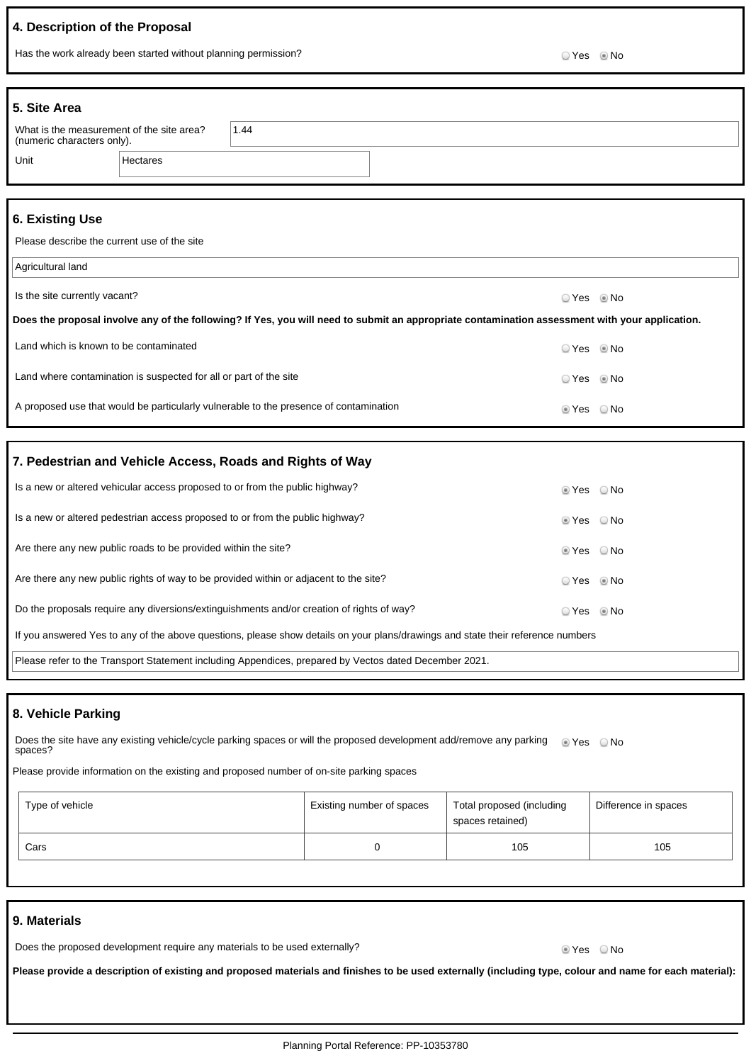## **4. Description of the Proposal**

Has the work already been started without planning permission?<br>
O Yes No

| 5. Site Area                                                            |          |      |  |
|-------------------------------------------------------------------------|----------|------|--|
| What is the measurement of the site area?<br>(numeric characters only). |          | 1.44 |  |
| Unit                                                                    | Hectares |      |  |

## **6. Existing Use**

Please describe the current use of the site

| Agricultural land                                                                                                                              |                        |  |
|------------------------------------------------------------------------------------------------------------------------------------------------|------------------------|--|
| Is the site currently vacant?                                                                                                                  | $\circ$ Yes $\circ$ No |  |
| Does the proposal involve any of the following? If Yes, you will need to submit an appropriate contamination assessment with your application. |                        |  |
| Land which is known to be contaminated                                                                                                         | O Yes . I No           |  |
| Land where contamination is suspected for all or part of the site                                                                              | ○ Yes ◎ No             |  |
| A proposed use that would be particularly vulnerable to the presence of contamination                                                          | ie Yes ⊙No             |  |

## **7. Pedestrian and Vehicle Access, Roads and Rights of Way**

| Is a new or altered vehicular access proposed to or from the public highway?                                                    | $\circ$ Yes $\circ$ No                                   |  |
|---------------------------------------------------------------------------------------------------------------------------------|----------------------------------------------------------|--|
| Is a new or altered pedestrian access proposed to or from the public highway?                                                   | $\circ$ Yes $\circ$ No                                   |  |
| Are there any new public roads to be provided within the site?                                                                  | $\textcircled{\textsf{Yes}}$ $\textcircled{\textsf{No}}$ |  |
| Are there any new public rights of way to be provided within or adjacent to the site?                                           | ○ Yes ◎ No                                               |  |
| Do the proposals require any diversions/extinguishments and/or creation of rights of way?                                       | ○ Yes ◎ No                                               |  |
| If you answered Yes to any of the above questions, please show details on your plans/drawings and state their reference numbers |                                                          |  |
| Please refer to the Transport Statement including Appendices, prepared by Vectos dated December 2021.                           |                                                          |  |

## **8. Vehicle Parking**

| Does the site have any existing vehicle/cycle parking spaces or will the proposed development add/remove any parking $\bullet$ Yes $\bullet$ No |  |
|-------------------------------------------------------------------------------------------------------------------------------------------------|--|
| spaces?                                                                                                                                         |  |

Please provide information on the existing and proposed number of on-site parking spaces

| Type of vehicle | Existing number of spaces | Total proposed (including<br>spaces retained) | Difference in spaces |
|-----------------|---------------------------|-----------------------------------------------|----------------------|
| Cars            |                           | 105                                           | 105                  |

### **9. Materials**

| Does the proposed development require any materials to be used externally? | ◉ Yes     ⊙ No |  |
|----------------------------------------------------------------------------|----------------|--|
|----------------------------------------------------------------------------|----------------|--|

**Please provide a description of existing and proposed materials and finishes to be used externally (including type, colour and name for each material):**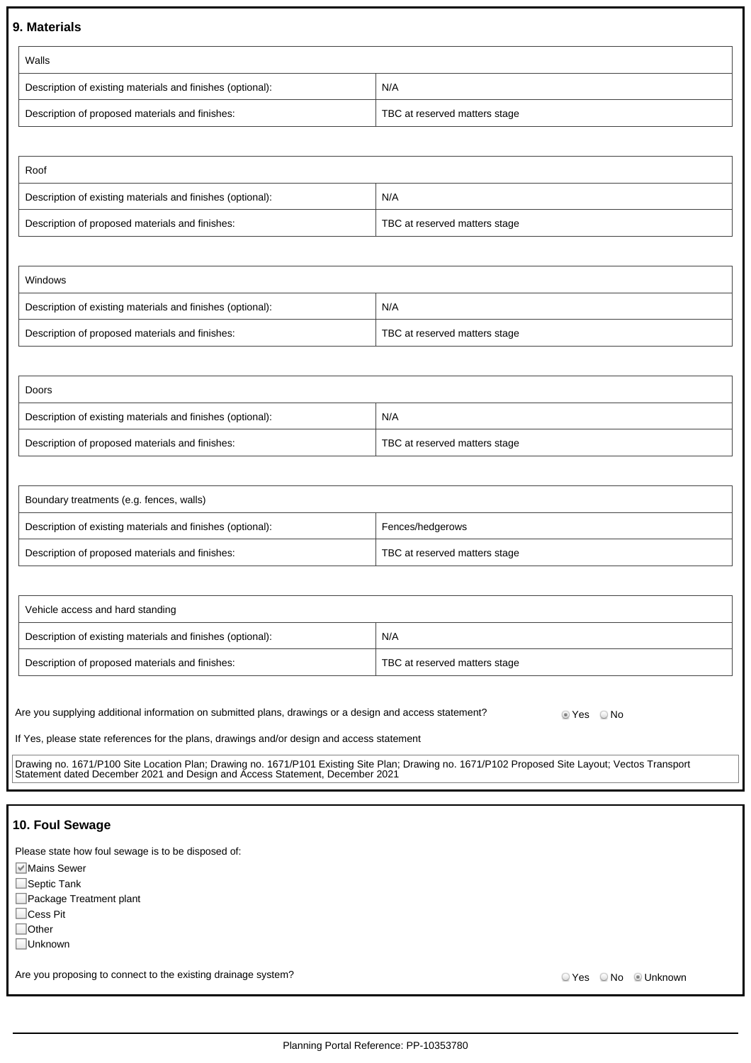### **9. Materials**

| Walls                                                      |                               |  |  |
|------------------------------------------------------------|-------------------------------|--|--|
| Description of existing materials and finishes (optional): | N/A                           |  |  |
| Description of proposed materials and finishes:            | TBC at reserved matters stage |  |  |

| Roof                                                       |                               |
|------------------------------------------------------------|-------------------------------|
| Description of existing materials and finishes (optional): | N/A                           |
| Description of proposed materials and finishes:            | TBC at reserved matters stage |

| Windows                                                    |                               |
|------------------------------------------------------------|-------------------------------|
| Description of existing materials and finishes (optional): | N/A                           |
| Description of proposed materials and finishes:            | TBC at reserved matters stage |

| Doors                                                      |                               |  |  |  |
|------------------------------------------------------------|-------------------------------|--|--|--|
| Description of existing materials and finishes (optional): | N/A                           |  |  |  |
| Description of proposed materials and finishes:            | TBC at reserved matters stage |  |  |  |

| Boundary treatments (e.g. fences, walls)                   |                               |
|------------------------------------------------------------|-------------------------------|
| Description of existing materials and finishes (optional): | Fences/hedgerows              |
| Description of proposed materials and finishes:            | TBC at reserved matters stage |

| Vehicle access and hard standing                           |                               |
|------------------------------------------------------------|-------------------------------|
| Description of existing materials and finishes (optional): | N/A                           |
| Description of proposed materials and finishes:            | TBC at reserved matters stage |

Are you supplying additional information on submitted plans, drawings or a design and access statement? Place No

If Yes, please state references for the plans, drawings and/or design and access statement

Drawing no. 1671/P100 Site Location Plan; Drawing no. 1671/P101 Existing Site Plan; Drawing no. 1671/P102 Proposed Site Layout; Vectos Transport Statement dated December 2021 and Design and Access Statement, December 2021

### **10. Foul Sewage**

Please state how foul sewage is to be disposed of:

**Mains Sewer** 

Septic Tank

Package Treatment plant

□Cess Pit

□Other

Unknown

Are you proposing to connect to the existing drainage system?<br>
Are you proposing to connect to the existing drainage system?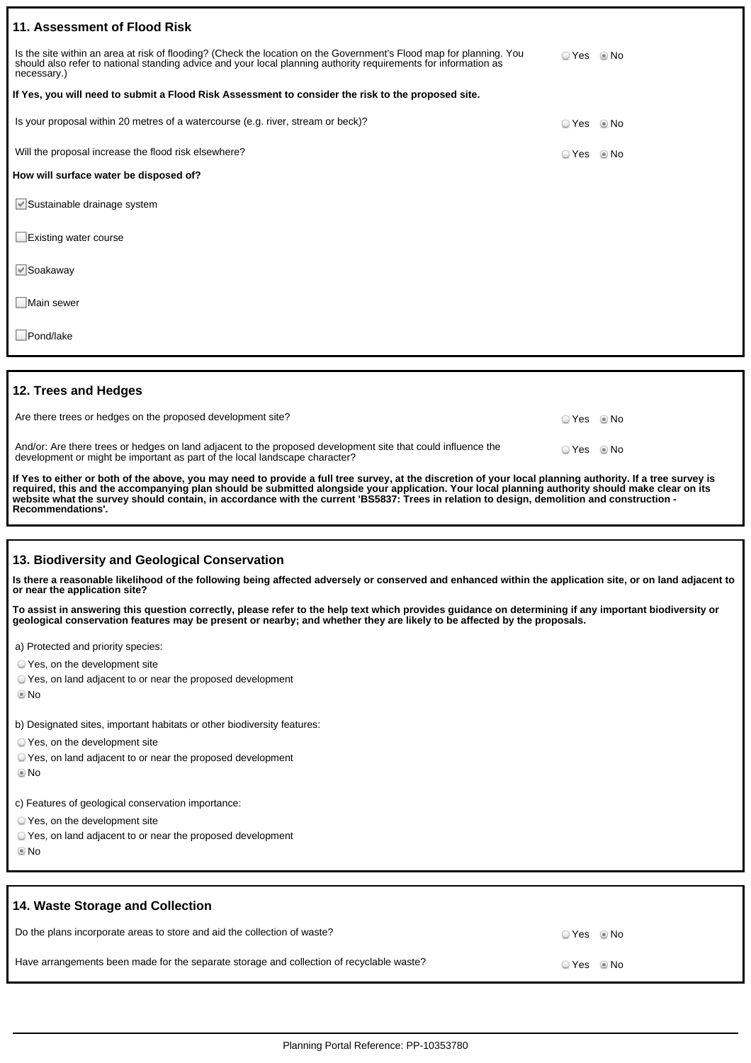| 11. Assessment of Flood Risk                                                                                                                                                                                                                          |            |  |
|-------------------------------------------------------------------------------------------------------------------------------------------------------------------------------------------------------------------------------------------------------|------------|--|
| Is the site within an area at risk of flooding? (Check the location on the Government's Flood map for planning. You<br>should also refer to national standing advice and your local planning authority requirements for information as<br>necessary.) | ○ Yes ◎ No |  |
| If Yes, you will need to submit a Flood Risk Assessment to consider the risk to the proposed site.                                                                                                                                                    |            |  |
| Is your proposal within 20 metres of a watercourse (e.g. river, stream or beck)?                                                                                                                                                                      | ⊙ Yes © No |  |
| Will the proposal increase the flood risk elsewhere?                                                                                                                                                                                                  | ○ Yes ◎ No |  |
| How will surface water be disposed of?                                                                                                                                                                                                                |            |  |
| Sustainable drainage system                                                                                                                                                                                                                           |            |  |
| Existing water course                                                                                                                                                                                                                                 |            |  |
| $\vee$ Soakaway                                                                                                                                                                                                                                       |            |  |
| Main sewer                                                                                                                                                                                                                                            |            |  |
| Pond/lake                                                                                                                                                                                                                                             |            |  |

### **12. Trees and Hedges**

| Are there trees or hedges on the proposed development site?                                                                                                                                 | ⊙ Yes             No |  |
|---------------------------------------------------------------------------------------------------------------------------------------------------------------------------------------------|----------------------|--|
| And/or: Are there trees or hedges on land adjacent to the proposed development site that could influence the<br>development or might be important as part of the local landscape character? | ○ Yes ◎ No           |  |
| If Yes to either or both of the above, you may need to provide a full tree survey, at the discretion of your local planning authority. If a tree survey is                                  |                      |  |

**If Yes to either or both of the above, you may need to provide a full tree survey, at the discretion of your local planning authority. If a tree survey is required, this and the accompanying plan should be submitted alongside your application. Your local planning authority should make clear on its website what the survey should contain, in accordance with the current 'BS5837: Trees in relation to design, demolition and construction - Recommendations'.**

#### **13. Biodiversity and Geological Conservation**

**Is there a reasonable likelihood of the following being affected adversely or conserved and enhanced within the application site, or on land adjacent to or near the application site?**

**To assist in answering this question correctly, please refer to the help text which provides guidance on determining if any important biodiversity or geological conservation features may be present or nearby; and whether they are likely to be affected by the proposals.**

a) Protected and priority species:

- Yes, on the development site
- Yes, on land adjacent to or near the proposed development
- No

b) Designated sites, important habitats or other biodiversity features:

- Yes, on the development site
- Yes, on land adjacent to or near the proposed development
- No

c) Features of geological conservation importance:

- Yes, on the development site
- Yes, on land adjacent to or near the proposed development
- No

| 14. Waste Storage and Collection                                                         |                |
|------------------------------------------------------------------------------------------|----------------|
| Do the plans incorporate areas to store and aid the collection of waste?                 | D Yes     ® No |
| Have arrangements been made for the separate storage and collection of recyclable waste? | D Yes © No     |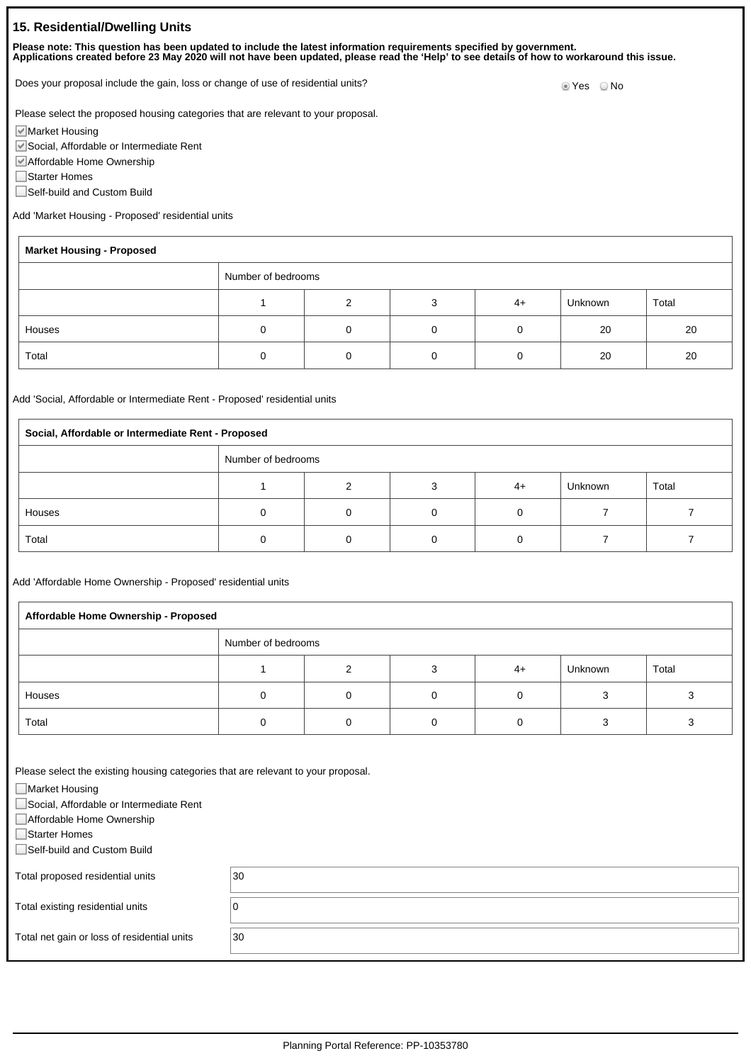## **15. Residential/Dwelling Units**

**Please note: This question has been updated to include the latest information requirements specified by government. Applications created before 23 May 2020 will not have been updated, please read the 'Help' to see details of how to workaround this issue.**

Does your proposal include the gain, loss or change of use of residential units?<br>
O Yes 
O No

Please select the proposed housing categories that are relevant to your proposal.

Market Housing

Social, Affordable or Intermediate Rent

Affordable Home Ownership

Starter Homes

f

■Self-build and Custom Build

Add 'Market Housing - Proposed' residential units

| <b>Market Housing - Proposed</b> |  |   |  |      |         |       |
|----------------------------------|--|---|--|------|---------|-------|
| Number of bedrooms               |  |   |  |      |         |       |
|                                  |  | ົ |  | $4+$ | Unknown | Total |
| Houses                           |  |   |  |      | 20      | 20    |
| Total                            |  | 0 |  |      | 20      | 20    |

Add 'Social, Affordable or Intermediate Rent - Proposed' residential units

| Social, Affordable or Intermediate Rent - Proposed |  |   |  |      |         |       |  |
|----------------------------------------------------|--|---|--|------|---------|-------|--|
| Number of bedrooms                                 |  |   |  |      |         |       |  |
|                                                    |  | ົ |  | $4+$ | Unknown | Total |  |
| Houses                                             |  |   |  |      |         |       |  |
| Total                                              |  |   |  |      |         |       |  |

Add 'Affordable Home Ownership - Proposed' residential units

| Affordable Home Ownership - Proposed |  |   |  |      |         |       |  |
|--------------------------------------|--|---|--|------|---------|-------|--|
| Number of bedrooms                   |  |   |  |      |         |       |  |
|                                      |  | ◠ |  | $4+$ | Unknown | Total |  |
| Houses                               |  |   |  |      |         |       |  |
| Total                                |  |   |  |      |         |       |  |

Please select the existing housing categories that are relevant to your proposal.

■Market Housing

Social, Affordable or Intermediate Rent

Affordable Home Ownership

Starter Homes

Self-build and Custom Build

Total proposed residential units  $30$ 

Total existing residential units  $\boxed{0}$ 

Total net gain or loss of residential units 30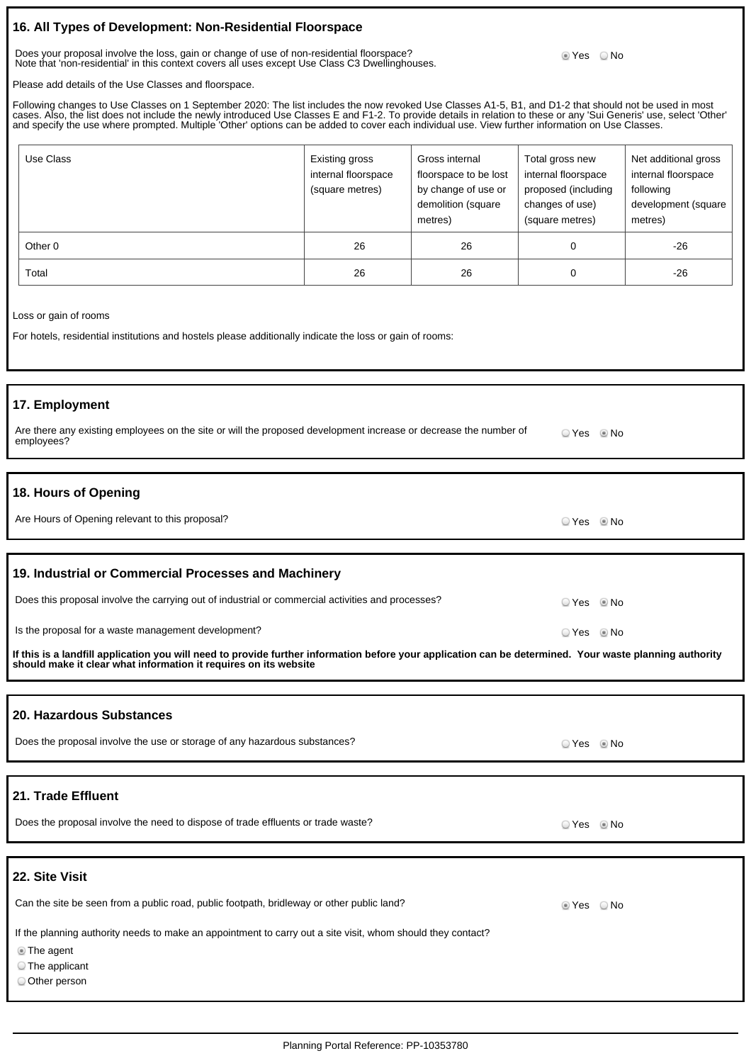## **16. All Types of Development: Non-Residential Floorspace**

Does your proposal involve the loss, gain or change of use of non-residential floorspace? Note that 'non-residential' in this context covers all uses except Use Class C3 Dwellinghouses.

<sup>●</sup> Yes ● No

Please add details of the Use Classes and floorspace.

Following changes to Use Classes on 1 September 2020: The list includes the now revoked Use Classes A1-5, B1, and D1-2 that should not be used in most cases. Also, the list does not include the newly introduced Use Classes E and F1-2. To provide details in relation to these or any 'Sui Generis' use, select 'Other' and specify the use where prompted. Multiple 'Other' options can be added to cover each individual use. View further information on Use Classes.

| Use Class | Existing gross<br>internal floorspace<br>(square metres) | Gross internal<br>floorspace to be lost<br>by change of use or<br>demolition (square<br>metres) | Total gross new<br>internal floorspace<br>proposed (including<br>changes of use)<br>(square metres) | Net additional gross<br>internal floorspace<br>following<br>development (square<br>metres) |
|-----------|----------------------------------------------------------|-------------------------------------------------------------------------------------------------|-----------------------------------------------------------------------------------------------------|--------------------------------------------------------------------------------------------|
| Other 0   | 26                                                       | 26                                                                                              | 0                                                                                                   | $-26$                                                                                      |
| Total     | 26                                                       | 26                                                                                              | 0                                                                                                   | -26                                                                                        |

Loss or gain of rooms

For hotels, residential institutions and hostels please additionally indicate the loss or gain of rooms:

### **17. Employment**

| Are there any existing employees on the site or will the proposed development increase or decrease the number of |  |
|------------------------------------------------------------------------------------------------------------------|--|
| employees?                                                                                                       |  |

### **18. Hours of Opening**

| Are Hours of Opening relevant to this proposal?<br>○ Yes ◎ No |  |
|---------------------------------------------------------------|--|
|---------------------------------------------------------------|--|

#### **19. Industrial or Commercial Processes and Machinery**

| Does this proposal involve the carrying out of industrial or commercial activities and processes? | ⊙ Yes           No |  |
|---------------------------------------------------------------------------------------------------|--------------------|--|
| Is the proposal for a waste management development?                                               | © Yes © No         |  |

**If this is a landfill application you will need to provide further information before your application can be determined. Your waste planning authority should make it clear what information it requires on its website**

#### **20. Hazardous Substances**

| Does the proposal involve the use or storage of any hazardous substances? | PYes . I No |
|---------------------------------------------------------------------------|-------------|
|                                                                           |             |

## **21. Trade Effluent**

## **22. Site Visit**

| Can the site be seen from a public road, public footpath, bridleway or other public land?                   | ⊚ Yes<br>⊙ No |
|-------------------------------------------------------------------------------------------------------------|---------------|
| If the planning authority needs to make an appointment to carry out a site visit, whom should they contact? |               |
| ■ The agent                                                                                                 |               |
| $\circ$ The applicant                                                                                       |               |
| Other person                                                                                                |               |